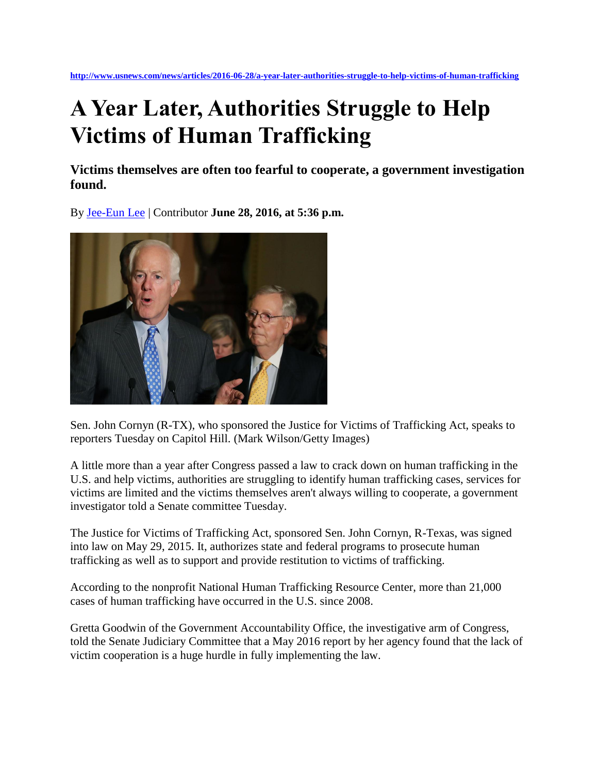## **A Year Later, Authorities Struggle to Help Victims of Human Trafficking**

**Victims themselves are often too fearful to cooperate, a government investigation found.**

By [Jee-Eun Lee](http://www.usnews.com/topics/author/jee-eun-lee) | Contributor **June 28, 2016, at 5:36 p.m.** 



Sen. John Cornyn (R-TX), who sponsored the Justice for Victims of Trafficking Act, speaks to reporters Tuesday on Capitol Hill. (Mark Wilson/Getty Images)

A little more than a year after Congress passed a law to crack down on human trafficking in the U.S. and help victims, authorities are struggling to identify human trafficking cases, services for victims are limited and the victims themselves aren't always willing to cooperate, a government investigator told a Senate committee Tuesday.

The Justice for Victims of Trafficking Act, sponsored Sen. John Cornyn, R-Texas, was signed into law on May 29, 2015. It, authorizes state and federal programs to prosecute human trafficking as well as to support and provide restitution to victims of trafficking.

According to the nonprofit National Human Trafficking Resource Center, more than 21,000 cases of human trafficking have occurred in the U.S. since 2008.

Gretta Goodwin of the Government Accountability Office, the investigative arm of Congress, told the Senate Judiciary Committee that a May 2016 report by her agency found that the lack of victim cooperation is a huge hurdle in fully implementing the law.